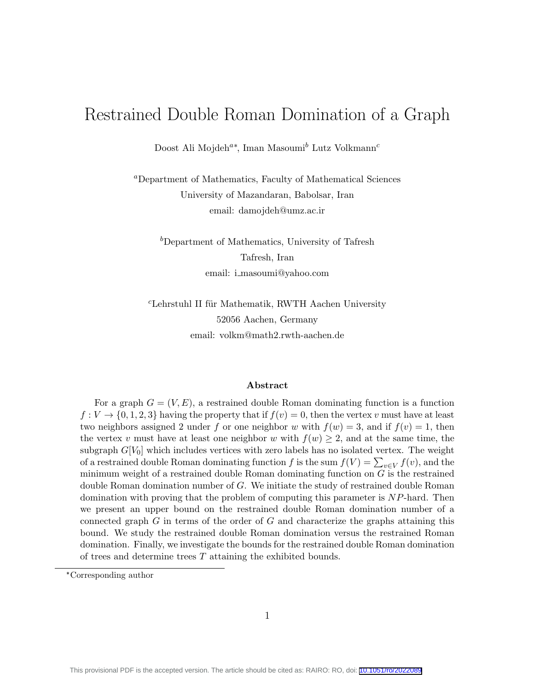# Restrained Double Roman Domination of a Graph

Doost Ali Mojdeh<sup>a\*</sup>, Iman Masoumi<sup>b</sup> Lutz Volkmann<sup>c</sup>

<sup>a</sup>Department of Mathematics, Faculty of Mathematical Sciences University of Mazandaran, Babolsar, Iran email: damojdeh@umz.ac.ir

 $b$ Department of Mathematics, University of Tafresh Tafresh, Iran email: i masoumi@yahoo.com

 $c$ Lehrstuhl II für Mathematik, RWTH Aachen University 52056 Aachen, Germany email: volkm@math2.rwth-aachen.de

#### Abstract

For a graph  $G = (V, E)$ , a restrained double Roman dominating function is a function  $f: V \to \{0, 1, 2, 3\}$  having the property that if  $f(v) = 0$ , then the vertex v must have at least two neighbors assigned 2 under f or one neighbor w with  $f(w) = 3$ , and if  $f(v) = 1$ , then the vertex v must have at least one neighbor w with  $f(w) \geq 2$ , and at the same time, the subgraph  $G[V_0]$  which includes vertices with zero labels has no isolated vertex. The weight of a restrained double Roman dominating function  $f$  is the sum  $f(V) = \sum_{v \in V} f(v)$ , and the minimum weight of a restrained double Roman dominating function on  $G$  is the restrained double Roman domination number of G. We initiate the study of restrained double Roman domination with proving that the problem of computing this parameter is NP-hard. Then we present an upper bound on the restrained double Roman domination number of a connected graph  $G$  in terms of the order of  $G$  and characterize the graphs attaining this bound. We study the restrained double Roman domination versus the restrained Roman domination. Finally, we investigate the bounds for the restrained double Roman domination of trees and determine trees  $T$  attaining the exhibited bounds.

<sup>\*</sup>Corresponding author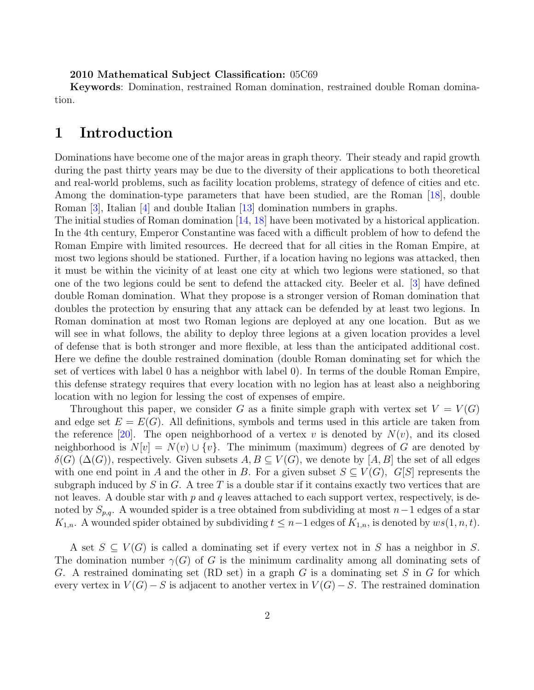#### 2010 Mathematical Subject Classification: 05C69

Keywords: Domination, restrained Roman domination, restrained double Roman domination.

### 1 Introduction

Dominations have become one of the major areas in graph theory. Their steady and rapid growth during the past thirty years may be due to the diversity of their applications to both theoretical and real-world problems, such as facility location problems, strategy of defence of cities and etc. Among the domination-type parameters that have been studied, are the Roman [\[18\]](#page-15-0), double Roman [\[3\]](#page-14-0), Italian [\[4\]](#page-14-1) and double Italian [\[13\]](#page-15-1) domination numbers in graphs.

The initial studies of Roman domination [\[14,](#page-15-2) [18\]](#page-15-0) have been motivated by a historical application. In the 4th century, Emperor Constantine was faced with a difficult problem of how to defend the Roman Empire with limited resources. He decreed that for all cities in the Roman Empire, at most two legions should be stationed. Further, if a location having no legions was attacked, then it must be within the vicinity of at least one city at which two legions were stationed, so that one of the two legions could be sent to defend the attacked city. Beeler et al. [\[3\]](#page-14-0) have defined double Roman domination. What they propose is a stronger version of Roman domination that doubles the protection by ensuring that any attack can be defended by at least two legions. In Roman domination at most two Roman legions are deployed at any one location. But as we will see in what follows, the ability to deploy three legions at a given location provides a level of defense that is both stronger and more flexible, at less than the anticipated additional cost. Here we define the double restrained domination (double Roman dominating set for which the set of vertices with label 0 has a neighbor with label 0). In terms of the double Roman Empire, this defense strategy requires that every location with no legion has at least also a neighboring location with no legion for lessing the cost of expenses of empire.

Throughout this paper, we consider G as a finite simple graph with vertex set  $V = V(G)$ and edge set  $E = E(G)$ . All definitions, symbols and terms used in this article are taken from the reference [\[20\]](#page-15-3). The open neighborhood of a vertex v is denoted by  $N(v)$ , and its closed neighborhood is  $N[v] = N(v) \cup \{v\}$ . The minimum (maximum) degrees of G are denoted by  $\delta(G)$  ( $\Delta(G)$ ), respectively. Given subsets  $A, B \subseteq V(G)$ , we denote by [ $A, B$ ] the set of all edges with one end point in A and the other in B. For a given subset  $S \subseteq V(G)$ ,  $G[S]$  represents the subgraph induced by S in G. A tree T is a double star if it contains exactly two vertices that are not leaves. A double star with  $p$  and  $q$  leaves attached to each support vertex, respectively, is denoted by  $S_{p,q}$ . A wounded spider is a tree obtained from subdividing at most  $n-1$  edges of a star  $K_{1,n}$ . A wounded spider obtained by subdividing  $t \leq n-1$  edges of  $K_{1,n}$ , is denoted by  $ws(1,n,t)$ .

A set  $S \subseteq V(G)$  is called a dominating set if every vertex not in S has a neighbor in S. The domination number  $\gamma(G)$  of G is the minimum cardinality among all dominating sets of G. A restrained dominating set (RD set) in a graph G is a dominating set S in G for which every vertex in  $V(G) - S$  is adjacent to another vertex in  $V(G) - S$ . The restrained domination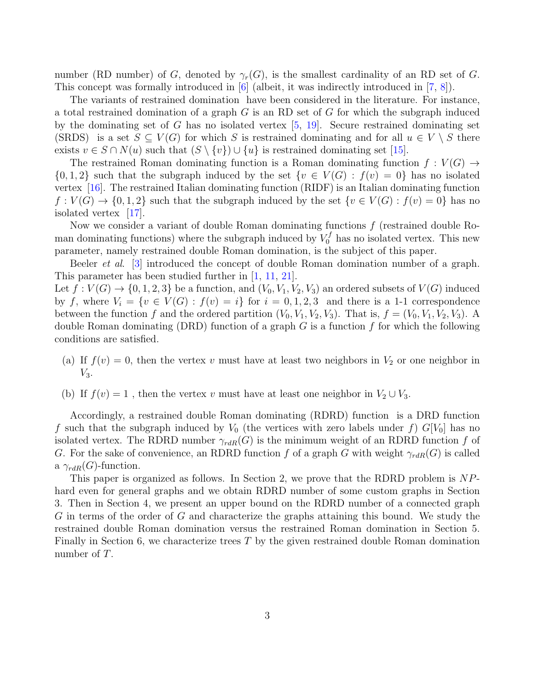number (RD number) of G, denoted by  $\gamma_r(G)$ , is the smallest cardinality of an RD set of G. This concept was formally introduced in [\[6\]](#page-14-2) (albeit, it was indirectly introduced in [\[7,](#page-14-3) [8\]](#page-14-4)).

The variants of restrained domination have been considered in the literature. For instance, a total restrained domination of a graph  $G$  is an RD set of  $G$  for which the subgraph induced by the dominating set of G has no isolated vertex  $[5, 19]$  $[5, 19]$  $[5, 19]$ . Secure restrained dominating set (SRDS) is a set  $S \subseteq V(G)$  for which S is restrained dominating and for all  $u \in V \setminus S$  there exists  $v \in S \cap N(u)$  such that  $(S \setminus \{v\}) \cup \{u\}$  is restrained dominating set [\[15\]](#page-15-5).

The restrained Roman dominating function is a Roman dominating function  $f: V(G) \rightarrow$  $\{0,1,2\}$  such that the subgraph induced by the set  $\{v \in V(G) : f(v) = 0\}$  has no isolated vertex [\[16\]](#page-15-6). The restrained Italian dominating function (RIDF) is an Italian dominating function  $f: V(G) \to \{0,1,2\}$  such that the subgraph induced by the set  $\{v \in V(G) : f(v) = 0\}$  has no isolated vertex [\[17\]](#page-15-7).

Now we consider a variant of double Roman dominating functions  $f$  (restrained double Roman dominating functions) where the subgraph induced by  $V_0^f$  has no isolated vertex. This new parameter, namely restrained double Roman domination, is the subject of this paper.

Beeler et al. [\[3\]](#page-14-0) introduced the concept of double Roman domination number of a graph. This parameter has been studied further in [\[1,](#page-14-6) [11,](#page-15-8) [21\]](#page-15-9).

Let  $f: V(G) \to \{0, 1, 2, 3\}$  be a function, and  $(V_0, V_1, V_2, V_3)$  an ordered subsets of  $V(G)$  induced by f, where  $V_i = \{v \in V(G) : f(v) = i\}$  for  $i = 0, 1, 2, 3$  and there is a 1-1 correspondence between the function f and the ordered partition  $(V_0, V_1, V_2, V_3)$ . That is,  $f = (V_0, V_1, V_2, V_3)$ . A double Roman dominating  $(DRD)$  function of a graph G is a function f for which the following conditions are satisfied.

- (a) If  $f(v) = 0$ , then the vertex v must have at least two neighbors in  $V_2$  or one neighbor in  $V_3$ .
- (b) If  $f(v) = 1$ , then the vertex v must have at least one neighbor in  $V_2 \cup V_3$ .

Accordingly, a restrained double Roman dominating (RDRD) function is a DRD function f such that the subgraph induced by  $V_0$  (the vertices with zero labels under f)  $G[V_0]$  has no isolated vertex. The RDRD number  $\gamma_{rdR}(G)$  is the minimum weight of an RDRD function f of G. For the sake of convenience, an RDRD function f of a graph G with weight  $\gamma_{rdR}(G)$  is called a  $\gamma_{rdR}(G)$ -function.

This paper is organized as follows. In Section 2, we prove that the RDRD problem is NPhard even for general graphs and we obtain RDRD number of some custom graphs in Section 3. Then in Section 4, we present an upper bound on the RDRD number of a connected graph G in terms of the order of G and characterize the graphs attaining this bound. We study the restrained double Roman domination versus the restrained Roman domination in Section 5. Finally in Section 6, we characterize trees  $T$  by the given restrained double Roman domination number of T.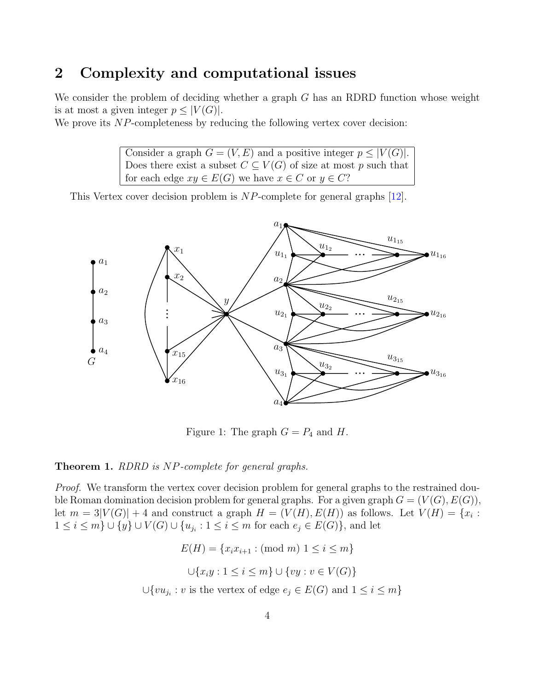# 2 Complexity and computational issues

We consider the problem of deciding whether a graph  $G$  has an RDRD function whose weight is at most a given integer  $p \leq |V(G)|$ .

We prove its NP-completeness by reducing the following vertex cover decision:

Consider a graph  $G = (V, E)$  and a positive integer  $p \leq |V(G)|$ . Does there exist a subset  $C \subseteq V(G)$  of size at most p such that for each edge  $xy \in E(G)$  we have  $x \in C$  or  $y \in C$ ?

This Vertex cover decision problem is NP-complete for general graphs [\[12\]](#page-15-10).



Figure 1: The graph  $G = P_4$  and H.

#### <span id="page-3-0"></span>Theorem 1. RDRD is NP-complete for general graphs.

Proof. We transform the vertex cover decision problem for general graphs to the restrained double Roman domination decision problem for general graphs. For a given graph  $G = (V(G), E(G)),$ let  $m = 3|V(G)| + 4$  and construct a graph  $H = (V(H), E(H))$  as follows. Let  $V(H) = \{x_i :$  $1 \leq i \leq m$   $\cup$   $\{y\}$   $\cup$   $V(G)$   $\cup$   $\{u_{j_i}: 1 \leq i \leq m$  for each  $e_j \in E(G) \}$ , and let

$$
E(H) = \{x_i x_{i+1} : (\text{mod } m) \mid 1 \leq i \leq m\}
$$

$$
\cup \{x_i y : 1 \leq i \leq m\} \cup \{vy : v \in V(G)\}
$$

$$
\cup \{vu_{j_i} : v \text{ is the vertex of edge } e_j \in E(G) \text{ and } 1 \leq i \leq m\}
$$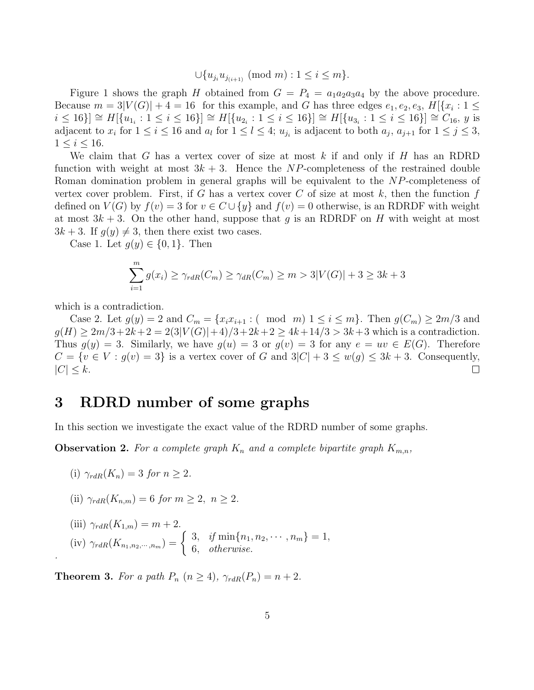$\bigcup \{u_{j_i}u_{j_{(i+1)}} \pmod{m} : 1 \leq i \leq m\}.$ 

Figure 1 shows the graph H obtained from  $G = P_4 = a_1 a_2 a_3 a_4$  by the above procedure. Because  $m = 3|V(G)| + 4 = 16$  for this example, and G has three edges  $e_1, e_2, e_3, H$   $[x_i : 1 \leq$  $i \le 16$ }  $\cong H[\{u_{1_i} : 1 \le i \le 16\}] \cong H[\{u_{2_i} : 1 \le i \le 16\}] \cong H[\{u_{3_i} : 1 \le i \le 16\}] \cong C_{16}, y$  is adjacent to  $x_i$  for  $1 \le i \le 16$  and  $a_l$  for  $1 \le l \le 4$ ;  $u_{j_i}$  is adjacent to both  $a_j$ ,  $a_{j+1}$  for  $1 \le j \le 3$ ,  $1 \leq i \leq 16$ .

We claim that G has a vertex cover of size at most  $k$  if and only if  $H$  has an RDRD function with weight at most  $3k + 3$ . Hence the NP-completeness of the restrained double Roman domination problem in general graphs will be equivalent to the NP-completeness of vertex cover problem. First, if G has a vertex cover C of size at most  $k$ , then the function f defined on  $V(G)$  by  $f(v) = 3$  for  $v \in C \cup \{y\}$  and  $f(v) = 0$  otherwise, is an RDRDF with weight at most  $3k + 3$ . On the other hand, suppose that g is an RDRDF on H with weight at most  $3k + 3$ . If  $g(y) \neq 3$ , then there exist two cases.

Case 1. Let  $g(y) \in \{0,1\}$ . Then

$$
\sum_{i=1}^{m} g(x_i) \ge \gamma_{rdR}(C_m) \ge \gamma_{dR}(C_m) \ge m > 3|V(G)| + 3 \ge 3k + 3
$$

which is a contradiction.

Case 2. Let  $g(y) = 2$  and  $C_m = \{x_i x_{i+1} : (\mod m) 1 \leq i \leq m\}$ . Then  $g(C_m) \geq 2m/3$  and  $g(H) \geq 2m/3+2k+2 = 2(3|V(G)|+4)/3+2k+2 \geq 4k+14/3 > 3k+3$  which is a contradiction. Thus  $g(y) = 3$ . Similarly, we have  $g(u) = 3$  or  $g(v) = 3$  for any  $e = uv \in E(G)$ . Therefore  $C = \{v \in V : g(v) = 3\}$  is a vertex cover of G and  $3|C| + 3 \leq w(g) \leq 3k + 3$ . Consequently,  $|C| < k$ .  $\Box$ 

### 3 RDRD number of some graphs

In this section we investigate the exact value of the RDRD number of some graphs.

<span id="page-4-1"></span>**Observation 2.** For a complete graph  $K_n$  and a complete bipartite graph  $K_{m,n}$ ,

(i) 
$$
\gamma_{rdR}(K_n) = 3
$$
 for  $n \geq 2$ .

.

(ii) 
$$
\gamma_{rdR}(K_{n,m}) = 6
$$
 for  $m \geq 2$ ,  $n \geq 2$ .

(iii) 
$$
\gamma_{rdR}(K_{1,m}) = m + 2
$$
.  
(iv)  $\gamma_{rdR}(K_{n_1,n_2,\cdots,n_m}) = \begin{cases} 3, & \text{if min}\{n_1, n_2, \cdots, n_m\} = 1, \\ 6, & \text{otherwise.} \end{cases}$ 

<span id="page-4-0"></span>**Theorem 3.** For a path  $P_n$   $(n \geq 4)$ ,  $\gamma_{rdR}(P_n) = n + 2$ .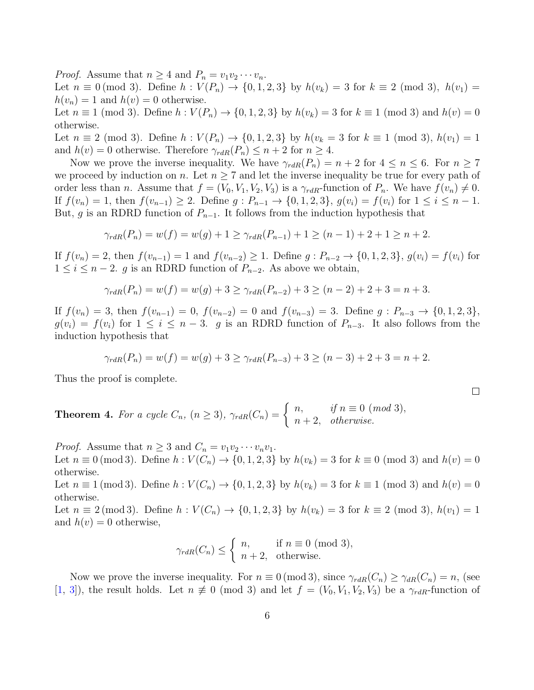*Proof.* Assume that  $n \geq 4$  and  $P_n = v_1v_2\cdots v_n$ . Let  $n \equiv 0 \pmod{3}$ . Define  $h : V(P_n) \to \{0, 1, 2, 3\}$  by  $h(v_k) = 3$  for  $k \equiv 2 \pmod{3}$ ,  $h(v_1) =$  $h(v_n) = 1$  and  $h(v) = 0$  otherwise.

Let  $n \equiv 1 \pmod{3}$ . Define  $h : V(P_n) \to \{0, 1, 2, 3\}$  by  $h(v_k) = 3$  for  $k \equiv 1 \pmod{3}$  and  $h(v) = 0$ otherwise.

Let  $n \equiv 2 \pmod{3}$ . Define  $h : V(P_n) \to \{0, 1, 2, 3\}$  by  $h(v_k = 3 \text{ for } k \equiv 1 \pmod{3}, h(v_1) = 1$ and  $h(v) = 0$  otherwise. Therefore  $\gamma_{rdR}(P_n) \leq n+2$  for  $n \geq 4$ .

Now we prove the inverse inequality. We have  $\gamma_{rdR}(P_n) = n + 2$  for  $4 \leq n \leq 6$ . For  $n \geq 7$ we proceed by induction on n. Let  $n \geq 7$  and let the inverse inequality be true for every path of order less than *n*. Assume that  $f = (V_0, V_1, V_2, V_3)$  is a  $\gamma_{rdR}$ -function of  $P_n$ . We have  $f(v_n) \neq 0$ . If  $f(v_n) = 1$ , then  $f(v_{n-1}) \geq 2$ . Define  $g: P_{n-1} \to \{0, 1, 2, 3\}$ ,  $g(v_i) = f(v_i)$  for  $1 \leq i \leq n-1$ . But, g is an RDRD function of  $P_{n-1}$ . It follows from the induction hypothesis that

$$
\gamma_{rdR}(P_n) = w(f) = w(g) + 1 \ge \gamma_{rdR}(P_{n-1}) + 1 \ge (n-1) + 2 + 1 \ge n+2.
$$

If  $f(v_n) = 2$ , then  $f(v_{n-1}) = 1$  and  $f(v_{n-2}) \ge 1$ . Define  $g: P_{n-2} \to \{0, 1, 2, 3\}$ ,  $g(v_i) = f(v_i)$  for  $1 \leq i \leq n-2$ . g is an RDRD function of  $P_{n-2}$ . As above we obtain,

$$
\gamma_{rdR}(P_n) = w(f) = w(g) + 3 \ge \gamma_{rdR}(P_{n-2}) + 3 \ge (n-2) + 2 + 3 = n+3.
$$

If  $f(v_n) = 3$ , then  $f(v_{n-1}) = 0$ ,  $f(v_{n-2}) = 0$  and  $f(v_{n-3}) = 3$ . Define  $g: P_{n-3} \to \{0, 1, 2, 3\}$ ,  $g(v_i) = f(v_i)$  for  $1 \leq i \leq n-3$ . g is an RDRD function of  $P_{n-3}$ . It also follows from the induction hypothesis that

$$
\gamma_{rdR}(P_n) = w(f) = w(g) + 3 \ge \gamma_{rdR}(P_{n-3}) + 3 \ge (n-3) + 2 + 3 = n+2.
$$

Thus the proof is complete.

<span id="page-5-0"></span>**Theorem 4.** For a cycle  $C_n$ ,  $(n \geq 3)$ ,  $\gamma_{rdR}(C_n) = \begin{cases} n, & \text{if } n \equiv 0 \pmod{3}, \\ n, & \text{otherwise}. \end{cases}$  $n+2$ , otherwise.

*Proof.* Assume that  $n \geq 3$  and  $C_n = v_1v_2 \cdots v_nv_1$ .

Let  $n \equiv 0 \pmod{3}$ . Define  $h : V(C_n) \to \{0, 1, 2, 3\}$  by  $h(v_k) = 3$  for  $k \equiv 0 \pmod{3}$  and  $h(v) = 0$ otherwise.

Let  $n \equiv 1 \pmod{3}$ . Define  $h : V(C_n) \to \{0, 1, 2, 3\}$  by  $h(v_k) = 3$  for  $k \equiv 1 \pmod{3}$  and  $h(v) = 0$ otherwise.

Let  $n \equiv 2 \pmod{3}$ . Define  $h : V(C_n) \to \{0, 1, 2, 3\}$  by  $h(v_k) = 3$  for  $k \equiv 2 \pmod{3}$ ,  $h(v_1) = 1$ and  $h(v) = 0$  otherwise,

$$
\gamma_{rdR}(C_n) \le \begin{cases} n, & \text{if } n \equiv 0 \pmod{3}, \\ n+2, & \text{otherwise.} \end{cases}
$$

Now we prove the inverse inequality. For  $n \equiv 0 \pmod{3}$ , since  $\gamma_{rdR}(C_n) \geq \gamma_{dR}(C_n) = n$ , (see [\[1,](#page-14-6) [3\]](#page-14-0)), the result holds. Let  $n \neq 0 \pmod{3}$  and let  $f = (V_0, V_1, V_2, V_3)$  be a  $\gamma_{rdR}$ -function of

 $\Box$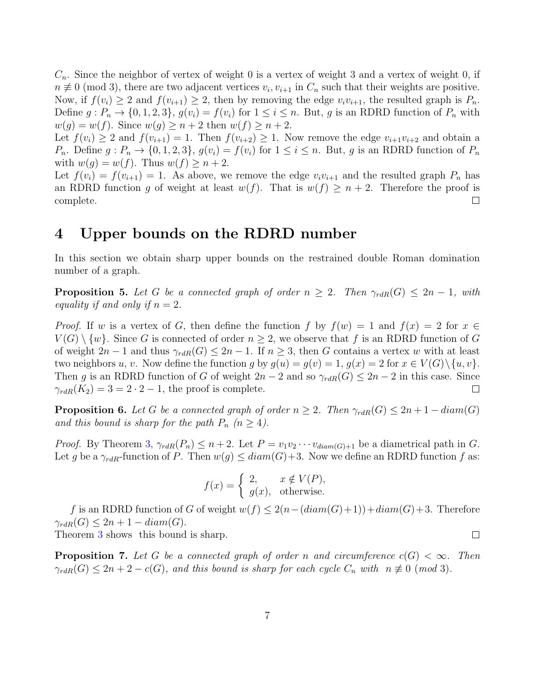$C_n$ . Since the neighbor of vertex of weight 0 is a vertex of weight 3 and a vertex of weight 0, if  $n \neq 0 \pmod{3}$ , there are two adjacent vertices  $v_i, v_{i+1}$  in  $C_n$  such that their weights are positive. Now, if  $f(v_i) \geq 2$  and  $f(v_{i+1}) \geq 2$ , then by removing the edge  $v_i v_{i+1}$ , the resulted graph is  $P_n$ . Define  $g: P_n \to \{0, 1, 2, 3\}, g(v_i) = f(v_i)$  for  $1 \le i \le n$ . But, g is an RDRD function of  $P_n$  with  $w(g) = w(f)$ . Since  $w(g) \geq n+2$  then  $w(f) \geq n+2$ .

Let  $f(v_i) \geq 2$  and  $f(v_{i+1}) = 1$ . Then  $f(v_{i+2}) \geq 1$ . Now remove the edge  $v_{i+1}v_{i+2}$  and obtain a  $P_n$ . Define  $g: P_n \to \{0, 1, 2, 3\}, g(v_i) = f(v_i)$  for  $1 \le i \le n$ . But, g is an RDRD function of  $P_n$ with  $w(g) = w(f)$ . Thus  $w(f) \ge n + 2$ .

Let  $f(v_i) = f(v_{i+1}) = 1$ . As above, we remove the edge  $v_i v_{i+1}$  and the resulted graph  $P_n$  has an RDRD function g of weight at least  $w(f)$ . That is  $w(f) \geq n+2$ . Therefore the proof is complete.  $\Box$ 

# 4 Upper bounds on the RDRD number

In this section we obtain sharp upper bounds on the restrained double Roman domination number of a graph.

<span id="page-6-0"></span>**Proposition 5.** Let G be a connected graph of order  $n \geq 2$ . Then  $\gamma_{rdR}(G) \leq 2n - 1$ , with equality if and only if  $n = 2$ .

*Proof.* If w is a vertex of G, then define the function f by  $f(w) = 1$  and  $f(x) = 2$  for  $x \in$  $V(G) \setminus \{w\}$ . Since G is connected of order  $n \geq 2$ , we observe that f is an RDRD function of G of weight  $2n-1$  and thus  $\gamma_{rdR}(G) \leq 2n-1$ . If  $n \geq 3$ , then G contains a vertex w with at least two neighbors u, v. Now define the function g by  $g(u) = g(v) = 1$ ,  $g(x) = 2$  for  $x \in V(G) \setminus \{u, v\}$ . Then g is an RDRD function of G of weight  $2n-2$  and so  $\gamma_{rdR}(G) \leq 2n-2$  in this case. Since  $\gamma_{rdR}(K_2) = 3 = 2 \cdot 2 - 1$ , the proof is complete.  $\Box$ 

<span id="page-6-1"></span>**Proposition 6.** Let G be a connected graph of order  $n \geq 2$ . Then  $\gamma_{rdR}(G) \leq 2n + 1 - diam(G)$ and this bound is sharp for the path  $P_n$   $(n \geq 4)$ .

*Proof.* By Theorem [3,](#page-4-0)  $\gamma_{rdR}(P_n) \leq n+2$ . Let  $P = v_1v_2\cdots v_{diam(G)+1}$  be a diametrical path in G. Let g be a  $\gamma_{rdR}$ -function of P. Then  $w(g) \leq diam(G)+3$ . Now we define an RDRD function f as:

$$
f(x) = \begin{cases} 2, & x \notin V(P), \\ g(x), & \text{otherwise.} \end{cases}
$$

f is an RDRD function of G of weight  $w(f) \leq 2(n-(diam(G)+1))+diam(G)+3$ . Therefore  $\gamma_{rdR}(G) \leq 2n + 1 - diam(G).$  $\Box$ 

Theorem [3](#page-4-0) shows this bound is sharp.

**Proposition 7.** Let G be a connected graph of order n and circumference  $c(G) < \infty$ . Then  $\gamma_{rdR}(G) \leq 2n + 2 - c(G)$ , and this bound is sharp for each cycle  $C_n$  with  $n \not\equiv 0 \pmod{3}$ .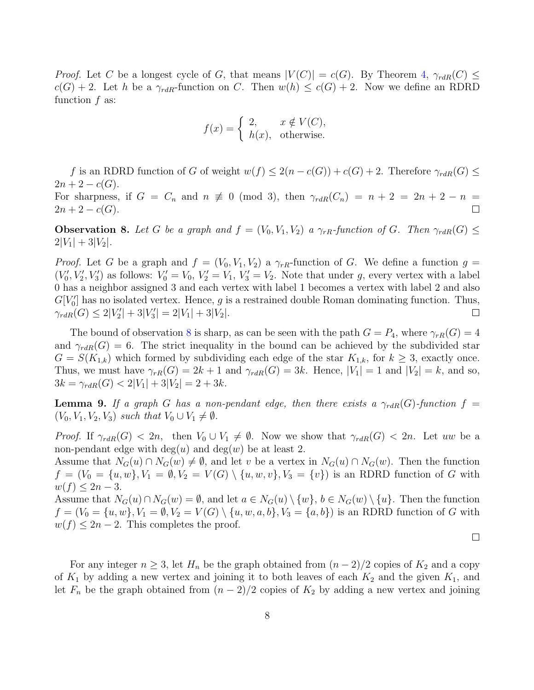*Proof.* Let C be a longest cycle of G, that means  $|V(C)| = c(G)$ . By Theorem [4,](#page-5-0)  $\gamma_{rdR}(C) \le$  $c(G) + 2$ . Let h be a  $\gamma_{rdR}$ -function on C. Then  $w(h) \leq c(G) + 2$ . Now we define an RDRD function  $f$  as:

$$
f(x) = \begin{cases} 2, & x \notin V(C), \\ h(x), & \text{otherwise.} \end{cases}
$$

f is an RDRD function of G of weight  $w(f) \leq 2(n - c(G)) + c(G) + 2$ . Therefore  $\gamma_{rdR}(G) \leq$  $2n + 2 - c(G)$ .

For sharpness, if  $G = C_n$  and  $n \neq 0 \pmod{3}$ , then  $\gamma_{rdR}(C_n) = n + 2 = 2n + 2 - n$  $2n + 2 - c(G)$ .  $\Box$ 

<span id="page-7-0"></span>**Observation 8.** Let G be a graph and  $f = (V_0, V_1, V_2)$  a  $\gamma_{rR}$ -function of G. Then  $\gamma_{rdR}(G) \le$  $2|V_1| + 3|V_2|$ .

*Proof.* Let G be a graph and  $f = (V_0, V_1, V_2)$  a  $\gamma_{rR}$ -function of G. We define a function  $g =$  $(V'_0, V'_2, V'_3)$  as follows:  $V'_0 = V_0$ ,  $V'_2 = V_1$ ,  $V'_3 = V_2$ . Note that under g, every vertex with a label 0 has a neighbor assigned 3 and each vertex with label 1 becomes a vertex with label 2 and also  $G[V_0']$  has no isolated vertex. Hence, g is a restrained double Roman dominating function. Thus,  $\gamma_{rdR}(G) \leq 2|V'_2| + 3|V'_3| = 2|V_1| + 3|V_2|.$  $\Box$ 

The bound of observation [8](#page-7-0) is sharp, as can be seen with the path  $G = P_4$ , where  $\gamma_{rR}(G) = 4$ and  $\gamma_{rdR}(G) = 6$ . The strict inequality in the bound can be achieved by the subdivided star  $G = S(K_{1,k})$  which formed by subdividing each edge of the star  $K_{1,k}$ , for  $k \geq 3$ , exactly once. Thus, we must have  $\gamma_{rR}(G) = 2k + 1$  and  $\gamma_{rdR}(G) = 3k$ . Hence,  $|V_1| = 1$  and  $|V_2| = k$ , and so,  $3k = \gamma_{rdR}(G) < 2|V_1| + 3|V_2| = 2 + 3k.$ 

<span id="page-7-1"></span>**Lemma 9.** If a graph G has a non-pendant edge, then there exists a  $\gamma_{rdR}(G)$ -function  $f =$  $(V_0, V_1, V_2, V_3)$  such that  $V_0 \cup V_1 \neq \emptyset$ .

*Proof.* If  $\gamma_{rdR}(G) < 2n$ , then  $V_0 \cup V_1 \neq \emptyset$ . Now we show that  $\gamma_{rdR}(G) < 2n$ . Let uw be a non-pendant edge with  $deg(u)$  and  $deg(w)$  be at least 2.

Assume that  $N_G(u) \cap N_G(w) \neq \emptyset$ , and let v be a vertex in  $N_G(u) \cap N_G(w)$ . Then the function  $f = (V_0 = \{u, w\}, V_1 = \emptyset, V_2 = V(G) \setminus \{u, w, v\}, V_3 = \{v\})$  is an RDRD function of G with  $w(f) \leq 2n-3$ .

Assume that  $N_G(u) \cap N_G(w) = \emptyset$ , and let  $a \in N_G(u) \setminus \{w\}$ ,  $b \in N_G(w) \setminus \{u\}$ . Then the function  $f = (V_0 = \{u, w\}, V_1 = \emptyset, V_2 = V(G) \setminus \{u, w, a, b\}, V_3 = \{a, b\})$  is an RDRD function of G with  $w(f) \leq 2n - 2$ . This completes the proof.

 $\Box$ 

For any integer  $n \geq 3$ , let  $H_n$  be the graph obtained from  $(n-2)/2$  copies of  $K_2$  and a copy of  $K_1$  by adding a new vertex and joining it to both leaves of each  $K_2$  and the given  $K_1$ , and let  $F_n$  be the graph obtained from  $(n-2)/2$  copies of  $K_2$  by adding a new vertex and joining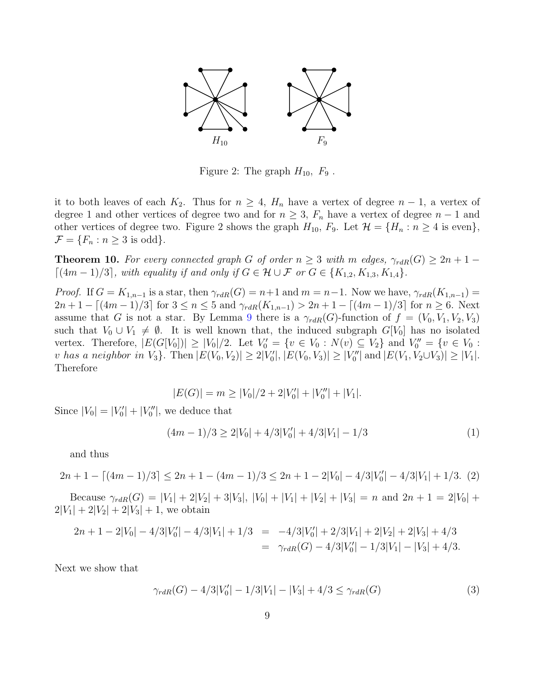

Figure 2: The graph  $H_{10}$ ,  $F_9$ .

it to both leaves of each  $K_2$ . Thus for  $n \geq 4$ ,  $H_n$  have a vertex of degree  $n-1$ , a vertex of degree 1 and other vertices of degree two and for  $n \geq 3$ ,  $F_n$  have a vertex of degree  $n-1$  and other vertices of degree two. Figure 2 shows the graph  $H_{10}$ ,  $F_9$ . Let  $\mathcal{H} = \{H_n : n \geq 4 \text{ is even}\},$  $\mathcal{F} = \{F_n : n \geq 3 \text{ is odd}\}.$ 

**Theorem 10.** For every connected graph G of order  $n \geq 3$  with m edges,  $\gamma_{rdR}(G) \geq 2n + 1 \lceil (4m-1)/3 \rceil$ , with equality if and only if  $G \in \mathcal{H} \cup \mathcal{F}$  or  $G \in \{K_{1,2}, K_{1,3}, K_{1,4}\}.$ 

*Proof.* If  $G = K_{1,n-1}$  is a star, then  $\gamma_{rdR}(G) = n+1$  and  $m = n-1$ . Now we have,  $\gamma_{rdR}(K_{1,n-1}) =$  $2n+1-[(4m-1)/3]$  for  $3 \leq n \leq 5$  and  $\gamma_{rdR}(K_{1,n-1}) > 2n+1-[(4m-1)/3]$  for  $n \geq 6$ . Next assume that G is not a star. By Lemma [9](#page-7-1) there is a  $\gamma_{rdR}(G)$ -function of  $f = (V_0, V_1, V_2, V_3)$ such that  $V_0 \cup V_1 \neq \emptyset$ . It is well known that, the induced subgraph  $G[V_0]$  has no isolated vertex. Therefore,  $|E(G[V_0])| \geq |V_0|/2$ . Let  $V'_0 = \{v \in V_0 : N(v) \subseteq V_2\}$  and  $V''_0 = \{v \in V_0 : N(v) \subseteq V_1\}$ v has a neighbor in  $V_3$ . Then  $|E(V_0, V_2)| \ge 2|V'_0|$ ,  $|E(V_0, V_3)| \ge |V''_0|$  and  $|E(V_1, V_2 \cup V_3)| \ge |V_1|$ . Therefore

<span id="page-8-1"></span>
$$
|E(G)| = m \ge |V_0|/2 + 2|V'_0| + |V''_0| + |V_1|.
$$

Since  $|V_0| = |V'_0| + |V''_0|$ , we deduce that

$$
(4m-1)/3 \ge 2|V_0| + 4/3|V'_0| + 4/3|V_1| - 1/3
$$
\n(1)

and thus

$$
2n + 1 - \left[ (4m - 1)/3 \right] \le 2n + 1 - (4m - 1)/3 \le 2n + 1 - 2|V_0| - 4/3|V'_0| - 4/3|V_1| + 1/3. (2)
$$

Because  $\gamma_{rdR}(G) = |V_1| + 2|V_2| + 3|V_3|$ ,  $|V_0| + |V_1| + |V_2| + |V_3| = n$  and  $2n + 1 = 2|V_0| +$  $2|V_1| + 2|V_2| + 2|V_3| + 1$ , we obtain

$$
2n + 1 - 2|V_0| - 4/3|V'_0| - 4/3|V_1| + 1/3 = -4/3|V'_0| + 2/3|V_1| + 2|V_2| + 2|V_3| + 4/3
$$
  
=  $\gamma_{rdR}(G) - 4/3|V'_0| - 1/3|V_1| - |V_3| + 4/3.$ 

Next we show that

<span id="page-8-0"></span>
$$
\gamma_{rdR}(G) - 4/3|V_0'| - 1/3|V_1| - |V_3| + 4/3 \le \gamma_{rdR}(G)
$$
\n(3)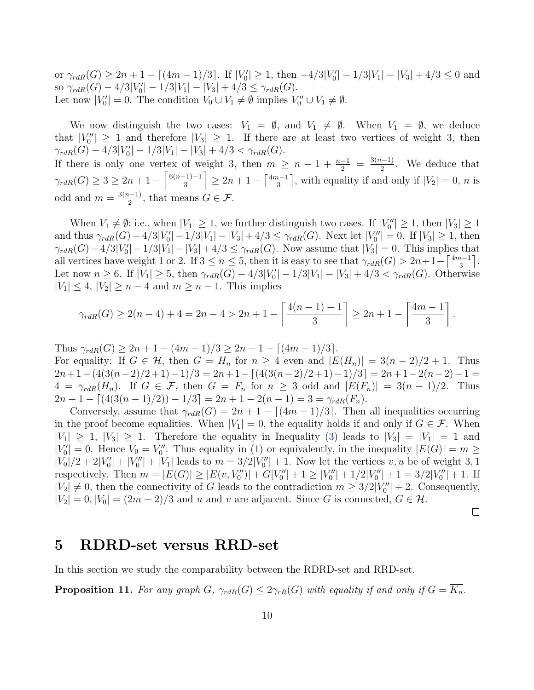or  $\gamma_{rdR}(G) \ge 2n + 1 - \lfloor (4m - 1)/3 \rfloor$ . If  $|V_0'| \ge 1$ , then  $-4/3|V_0'| - 1/3|V_1| - |V_3| + 4/3 \le 0$  and so  $\gamma_{rdR}(G) - 4/3|V_0'|-1/3|V_1| - |V_3| + 4/3 \leq \gamma_{rdR}(G)$ . Let now  $|V'_0| = 0$ . The condition  $V_0 \cup V_1 \neq \emptyset$  implies  $V''_0 \cup V_1 \neq \emptyset$ .

We now distinguish the two cases:  $V_1 = \emptyset$ , and  $V_1 \neq \emptyset$ . When  $V_1 = \emptyset$ , we deduce that  $|V_0''| \geq 1$  and therefore  $|V_3| \geq 1$ . If there are at least two vertices of weight 3, then  $\gamma_{rdR}(G) - 4/3|V_0'| - 1/3|V_1| - |V_3| + 4/3 < \gamma_{rdR}(G).$ 

If there is only one vertex of weight 3, then  $m \geq n-1+\frac{n-1}{2} = \frac{3(n-1)}{2}$  $\frac{1}{2}$ . We deduce that  $\gamma_{rdR}(G) \geq 3 \geq 2n + 1 - \left\lceil \frac{6(n-1)-1}{3} \right\rceil$  $\left[\frac{(-1)-1}{3}\right] \geq 2n+1-\left[\frac{4m-1}{3}\right]$  $\frac{1}{3}$ , with equality if and only if  $|V_2| = 0$ , *n* is odd and  $m = \frac{3(n-1)}{2}$  $\frac{a-1}{2}$ , that means  $G \in \mathcal{F}$ .

When  $V_1 \neq \emptyset$ ; i.e., when  $|V_1| \geq 1$ , we further distinguish two cases. If  $|V''_0| \geq 1$ , then  $|V_3| \geq 1$ and thus  $\gamma_{rdR}(G) - 4/3|V_0'|-1/3|V_1| - |V_3| + 4/3 \leq \gamma_{rdR}(G)$ . Next let  $|V_0''| = 0$ . If  $|V_3| \geq 1$ , then  $\gamma_{rdR}(G) - 4/3|V_0| - 1/3|V_1| - |V_3| + 4/3 \leq \gamma_{rdR}(G)$ . Now assume that  $|V_3| = 0$ . This implies that all vertices have weight 1 or 2. If  $3 \le n \le 5$ , then it is easy to see that  $\gamma_{rdR}(G) > 2n+1-\left\lceil \frac{4m-1}{3} \right\rceil$  $\frac{i-1}{3}$ . Let now  $n \ge 6$ . If  $|V_1| \ge 5$ , then  $\gamma_{rdR}(G) - 4/3|V_0'| - 1/3|V_1| - |V_3| + 4/3 < \gamma_{rdR}(G)$ . Otherwise  $|V_1| \leq 4$ ,  $|V_2| \geq n-4$  and  $m \geq n-1$ . This implies

$$
\gamma_{rdR}(G) \ge 2(n-4) + 4 = 2n - 4 > 2n + 1 - \left\lceil \frac{4(n-1) - 1}{3} \right\rceil \ge 2n + 1 - \left\lceil \frac{4m - 1}{3} \right\rceil.
$$

Thus  $\gamma_{rdR}(G) \geq 2n + 1 - (4m - 1)/3 \geq 2n + 1 - [(4m - 1)/3]$ . For equality: If  $G \in \mathcal{H}$ , then  $G = H_n$  for  $n \geq 4$  even and  $|E(H_n)| = 3(n-2)/2 + 1$ . Thus  $2n+1-(4(3(n-2)/2+1)-1)/3 = 2n+1-\lceil(4(3(n-2)/2+1)-1)/3\rceil = 2n+1-2(n-2)-1 =$  $4 = \gamma_{rdR}(H_n)$ . If  $G \in \mathcal{F}$ , then  $G = F_n$  for  $n \geq 3$  odd and  $|E(F_n)| = 3(n-1)/2$ . Thus  $2n + 1 - [(4(3(n-1)/2)) - 1/3] = 2n + 1 - 2(n-1) = 3 = \gamma_{rdR}(F_n).$ 

Conversely, assume that  $\gamma_{rdR}(G) = 2n + 1 - \lfloor (4m - 1)/3 \rfloor$ . Then all inequalities occurring in the proof become equalities. When  $|V_1| = 0$ , the equality holds if and only if  $G \in \mathcal{F}$ . When  $|V_1| \geq 1$ ,  $|V_3| \geq 1$ . Therefore the equality in Inequality [\(3\)](#page-8-0) leads to  $|V_3| = |V_1| = 1$  and  $|V'_0| = 0$ . Hence  $V_0 = V''_0$ . Thus equality in [\(1\)](#page-8-1) or equivalently, in the inequality  $|E(G)| = m \ge$  $|V_0|/2 + 2|V'_0| + |V''_0| + |V_1|$  leads to  $m = 3/2|V''_0| + 1$ . Now let the vertices  $v, u$  be of weight 3, 1 respectively. Then  $m = |E(G)| \ge |E(v, V_0'')| + G[V_0''] + 1 \ge |V_0''| + 1/2|V_0''| + 1 = 3/2|V_0''| + 1$ . If  $|V_2| \neq 0$ , then the connectivity of G leads to the contradiction  $m \geq 3/2|V_0''| + 2$ . Consequently,  $|V_2| = 0, |V_0| = (2m - 2)/3$  and u and v are adjacent. Since G is connected,  $G \in \mathcal{H}$ .

 $\Box$ 

#### 5 RDRD-set versus RRD-set

In this section we study the comparability between the RDRD-set and RRD-set.

<span id="page-9-0"></span>**Proposition 11.** For any graph  $G$ ,  $\gamma_{rdR}(G) \leq 2\gamma_{rR}(G)$  with equality if and only if  $G = \overline{K_n}$ .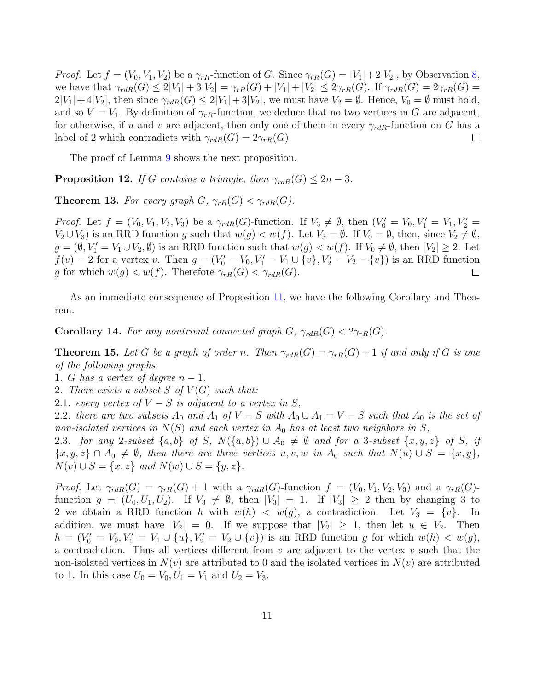*Proof.* Let  $f = (V_0, V_1, V_2)$  be a  $\gamma_{rR}$ -function of G. Since  $\gamma_{rR}(G) = |V_1| + 2|V_2|$ , by Observation [8,](#page-7-0) we have that  $\gamma_{rdR}(G) \leq 2|V_1| + 3|V_2| = \gamma_{rR}(G) + |V_1| + |V_2| \leq 2\gamma_{rR}(G)$ . If  $\gamma_{rdR}(G) = 2\gamma_{rR}(G)$  $2|V_1| + 4|V_2|$ , then since  $\gamma_{rdR}(G) \leq 2|V_1| + 3|V_2|$ , we must have  $V_2 = \emptyset$ . Hence,  $V_0 = \emptyset$  must hold, and so  $V = V_1$ . By definition of  $\gamma_{rR}$ -function, we deduce that no two vertices in G are adjacent, for otherwise, if u and v are adjacent, then only one of them in every  $\gamma_{rdR}$ -function on G has a label of 2 which contradicts with  $\gamma_{rdR}(G) = 2\gamma_{rR}(G)$ .  $\Box$ 

The proof of Lemma [9](#page-7-1) shows the next proposition.

**Proposition 12.** If G contains a triangle, then  $\gamma_{rdR}(G) \leq 2n-3$ .

**Theorem 13.** For every graph  $G$ ,  $\gamma_{rR}(G) < \gamma_{rdR}(G)$ .

*Proof.* Let  $f = (V_0, V_1, V_2, V_3)$  be a  $\gamma_{rdR}(G)$ -function. If  $V_3 \neq \emptyset$ , then  $(V'_0 = V_0, V'_1 = V_1, V'_2 = V_1, V'_3 = V_1, V'_4 = V_1, V'_5 = V_4$  $V_2 \cup V_3$ ) is an RRD function g such that  $w(g) < w(f)$ . Let  $V_3 = \emptyset$ . If  $V_0 = \emptyset$ , then, since  $V_2 \neq \emptyset$ ,  $g = (\emptyset, V'_1 = V_1 \cup V_2, \emptyset)$  is an RRD function such that  $w(g) < w(f)$ . If  $V_0 \neq \emptyset$ , then  $|V_2| \geq 2$ . Let  $f(v) = 2$  for a vertex v. Then  $g = (V'_0 = V_0, V'_1 = V_1 \cup \{v\}, V'_2 = V_2 - \{v\})$  is an RRD function g for which  $w(g) < w(f)$ . Therefore  $\gamma_{rR}(G) < \gamma_{rdR}(G)$ .  $\Box$ 

As an immediate consequence of Proposition [11,](#page-9-0) we have the following Corollary and Theorem.

**Corollary 14.** For any nontrivial connected graph  $G$ ,  $\gamma_{rdR}(G) < 2\gamma_{rR}(G)$ .

**Theorem 15.** Let G be a graph of order n. Then  $\gamma_{rdR}(G) = \gamma_{rR}(G) + 1$  if and only if G is one of the following graphs.

1. G has a vertex of degree  $n-1$ .

2. There exists a subset S of  $V(G)$  such that:

2.1. every vertex of  $V-S$  is adjacent to a vertex in S,

2.2. there are two subsets  $A_0$  and  $A_1$  of  $V - S$  with  $A_0 \cup A_1 = V - S$  such that  $A_0$  is the set of non-isolated vertices in  $N(S)$  and each vertex in  $A_0$  has at least two neighbors in S,

2.3. for any 2-subset  $\{a, b\}$  of S,  $N(\{a, b\}) \cup A_0 \neq \emptyset$  and for a 3-subset  $\{x, y, z\}$  of S, if  ${x, y, z} \cap A_0 \neq \emptyset$ , then there are three vertices u, v, w in  $A_0$  such that  $N(u) \cup S = \{x, y\},\$  $N(v) \cup S = \{x, z\}$  and  $N(w) \cup S = \{y, z\}.$ 

*Proof.* Let  $\gamma_{rdR}(G) = \gamma_{rR}(G) + 1$  with a  $\gamma_{rdR}(G)$ -function  $f = (V_0, V_1, V_2, V_3)$  and a  $\gamma_{rR}(G)$ function  $g = (U_0, U_1, U_2)$ . If  $V_3 \neq \emptyset$ , then  $|V_3| = 1$ . If  $|V_3| \geq 2$  then by changing 3 to 2 we obtain a RRD function h with  $w(h) < w(g)$ , a contradiction. Let  $V_3 = \{v\}$ . In addition, we must have  $|V_2| = 0$ . If we suppose that  $|V_2| \geq 1$ , then let  $u \in V_2$ . Then  $h = (V_0' = V_0, V_1' = V_1 \cup \{u\}, V_2' = V_2 \cup \{v\})$  is an RRD function g for which  $w(h) < w(g)$ , a contradiction. Thus all vertices different from  $v$  are adjacent to the vertex  $v$  such that the non-isolated vertices in  $N(v)$  are attributed to 0 and the isolated vertices in  $N(v)$  are attributed to 1. In this case  $U_0 = V_0, U_1 = V_1$  and  $U_2 = V_3$ .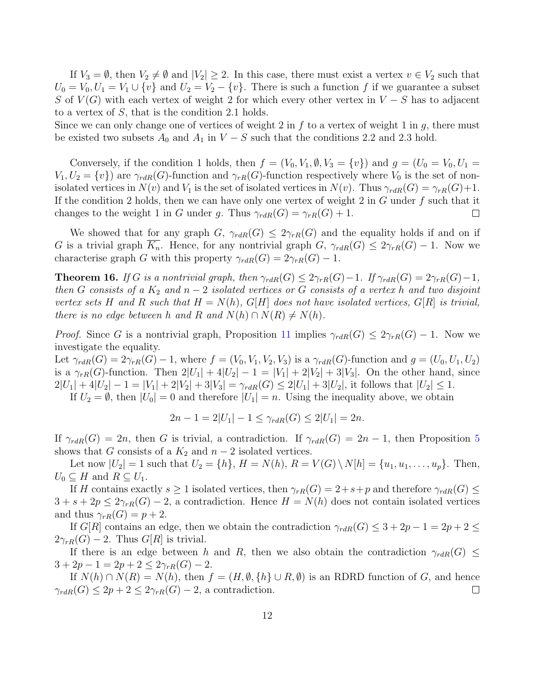If  $V_3 = \emptyset$ , then  $V_2 \neq \emptyset$  and  $|V_2| \geq 2$ . In this case, there must exist a vertex  $v \in V_2$  such that  $U_0 = V_0, U_1 = V_1 \cup \{v\}$  and  $U_2 = V_2 - \{v\}$ . There is such a function f if we guarantee a subset S of  $V(G)$  with each vertex of weight 2 for which every other vertex in  $V-S$  has to adjacent to a vertex of S, that is the condition 2.1 holds.

Since we can only change one of vertices of weight 2 in f to a vertex of weight 1 in q, there must be existed two subsets  $A_0$  and  $A_1$  in  $V - S$  such that the conditions 2.2 and 2.3 hold.

Conversely, if the condition 1 holds, then  $f = (V_0, V_1, \emptyset, V_3 = \{v\})$  and  $g = (U_0 = V_0, U_1 =$  $V_1, U_2 = \{v\}$  are  $\gamma_{rdR}(G)$ -function and  $\gamma_{rR}(G)$ -function respectively where  $V_0$  is the set of nonisolated vertices in  $N(v)$  and  $V_1$  is the set of isolated vertices in  $N(v)$ . Thus  $\gamma_{rdR}(G) = \gamma_{rR}(G) + 1$ . If the condition 2 holds, then we can have only one vertex of weight 2 in  $G$  under  $f$  such that it changes to the weight 1 in G under g. Thus  $\gamma_{rdR}(G) = \gamma_{rR}(G) + 1$ .  $\Box$ 

We showed that for any graph  $G$ ,  $\gamma_{rdR}(G) \leq 2\gamma_{rR}(G)$  and the equality holds if and on if G is a trivial graph  $K_n$ . Hence, for any nontrivial graph  $G$ ,  $\gamma_{rdR}(G) \leq 2\gamma_{rR}(G) - 1$ . Now we characterise graph G with this property  $\gamma_{rdR}(G) = 2\gamma_{rR}(G) - 1$ .

**Theorem 16.** If G is a nontrivial graph, then  $\gamma_{rdR}(G) \leq 2\gamma_{rR}(G) - 1$ . If  $\gamma_{rdR}(G) = 2\gamma_{rR}(G) - 1$ , then G consists of a  $K_2$  and  $n-2$  isolated vertices or G consists of a vertex h and two disjoint vertex sets H and R such that  $H = N(h)$ ,  $G[H]$  does not have isolated vertices,  $G[R]$  is trivial, there is no edge between h and R and  $N(h) \cap N(R) \neq N(h)$ .

*Proof.* Since G is a nontrivial graph, Proposition [11](#page-9-0) implies  $\gamma_{rdR}(G) \leq 2\gamma_{rR}(G) - 1$ . Now we investigate the equality.

Let  $\gamma_{rdR}(G) = 2\gamma_{rR}(G) - 1$ , where  $f = (V_0, V_1, V_2, V_3)$  is a  $\gamma_{rdR}(G)$ -function and  $g = (U_0, U_1, U_2)$ is a  $\gamma_{rR}(G)$ -function. Then  $2|U_1| + 4|U_2| - 1 = |V_1| + 2|V_2| + 3|V_3|$ . On the other hand, since  $2|U_1| + 4|U_2| - 1 = |V_1| + 2|V_2| + 3|V_3| = \gamma_{rdR}(G) \le 2|U_1| + 3|U_2|$ , it follows that  $|U_2| \le 1$ .

If  $U_2 = \emptyset$ , then  $|U_0| = 0$  and therefore  $|U_1| = n$ . Using the inequality above, we obtain

$$
2n - 1 = 2|U_1| - 1 \le \gamma_{rdR}(G) \le 2|U_1| = 2n.
$$

If  $\gamma_{rdR}(G) = 2n$ , then G is trivial, a contradiction. If  $\gamma_{rdR}(G) = 2n - 1$ , then Proposition [5](#page-6-0) shows that G consists of a  $K_2$  and  $n-2$  isolated vertices.

Let now  $|U_2| = 1$  such that  $U_2 = \{h\}$ ,  $H = N(h)$ ,  $R = V(G) \setminus N[h] = \{u_1, u_1, \ldots, u_p\}$ . Then,  $U_0 \subseteq H$  and  $R \subseteq U_1$ .

If H contains exactly  $s \geq 1$  isolated vertices, then  $\gamma_{rR}(G) = 2+s+p$  and therefore  $\gamma_{rdR}(G) \leq$  $3 + s + 2p \leq 2\gamma_{rR}(G) - 2$ , a contradiction. Hence  $H = N(h)$  does not contain isolated vertices and thus  $\gamma_{rR}(G) = p + 2$ .

If G[R] contains an edge, then we obtain the contradiction  $\gamma_{rdR}(G) \leq 3 + 2p - 1 = 2p + 2 \leq$  $2\gamma_{rR}(G) - 2$ . Thus  $G[R]$  is trivial.

If there is an edge between h and R, then we also obtain the contradiction  $\gamma_{rdR}(G) \leq$  $3 + 2p - 1 = 2p + 2 \leq 2\gamma_{rR}(G) - 2.$ 

If  $N(h) \cap N(R) = N(h)$ , then  $f = (H, \emptyset, \{h\} \cup R, \emptyset)$  is an RDRD function of G, and hence  $\gamma_{rdR}(G) \leq 2p + 2 \leq 2\gamma_{rR}(G) - 2$ , a contradiction.  $\Box$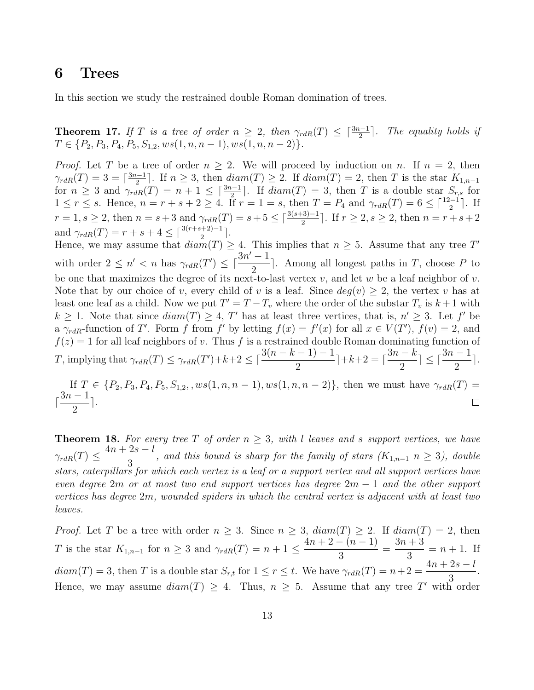### 6 Trees

In this section we study the restrained double Roman domination of trees.

<span id="page-12-0"></span>**Theorem 17.** If T is a tree of order  $n \geq 2$ , then  $\gamma_{rdR}(T) \leq \lceil \frac{3n-1}{2} \rceil$ . The equality holds if  $T \in \{P_2, P_3, P_4, P_5, S_{1,2}, ws(1, n, n-1), ws(1, n, n-2)\}.$ 

*Proof.* Let T be a tree of order  $n \geq 2$ . We will proceed by induction on n. If  $n = 2$ , then  $\gamma_{rdR}(T) = 3 = \lceil \frac{3n-1}{2} \rceil$  $\frac{n-1}{2}$ . If  $n \geq 3$ , then  $diam(T) \geq 2$ . If  $diam(T) = 2$ , then T is the star  $K_{1,n-1}$ for  $n \geq 3$  and  $\gamma_{rdR}(T) = n + 1 \leq \lceil \frac{3n-1}{2} \rceil$ . If  $diam(T) = 3$ , then T is a double star  $S_{r,s}$  for  $1 \leq r \leq s$ . Hence,  $n = r + s + 2 \geq 4$ . If  $r = 1 = s$ , then  $T = P_4$  and  $\gamma_{rdR}(T) = 6 \leq \lceil \frac{12-1}{2} \rceil$ . If  $r = 1, s \ge 2$ , then  $n = s + 3$  and  $\gamma_{rdR}(T) = s + 5 \le \lceil \frac{3(s+3)-1}{2} \rceil$ . If  $r \ge 2, s \ge 2$ , then  $n = r + s + 2$ and  $\gamma_{rdR}(T) = r + s + 4 \leq \lceil \frac{3(r+s+2)-1}{2} \rceil$ .

Hence, we may assume that  $diam(T) \geq 4$ . This implies that  $n \geq 5$ . Assume that any tree T' with order  $2 \leq n' < n$  has  $\gamma_{rdR}(T') \leq \lceil \frac{3n' - 1}{2} \rceil$ 2 . Among all longest paths in  $T$ , choose  $P$  to be one that maximizes the degree of its next-to-last vertex v, and let w be a leaf neighbor of v. Note that by our choice of v, every child of v is a leaf. Since  $deg(v) \geq 2$ , the vertex v has at least one leaf as a child. Now we put  $T' = T - T_v$  where the order of the substar  $T_v$  is  $k + 1$  with  $k \geq 1$ . Note that since  $diam(T) \geq 4$ , T' has at least three vertices, that is,  $n' \geq 3$ . Let f' be a  $\gamma_{rdR}$ -function of T'. Form f from f' by letting  $f(x) = f'(x)$  for all  $x \in V(T')$ ,  $f(v) = 2$ , and  $f(z) = 1$  for all leaf neighbors of v. Thus f is a restrained double Roman dominating function of T, implying that  $\gamma_{rdR}(T) \leq \gamma_{rdR}(T') + k + 2 \leq \lceil \frac{3(n-k-1)-1}{2} \rceil$ 2  $+k+2 = 0$  $3n - k$ 2  $\lceil \leq \lceil \frac{3n-1}{2} \rceil$ 2 e.

If  $T \in \{P_2, P_3, P_4, P_5, S_{1,2},$ ,  $ws(1, n, n-1), ws(1, n, n-2)\},$  then we must have  $\gamma_{rdR}(T)$  =  $\lceil \frac{3n-1}{2} \rceil$ e.  $\Box$ 2

<span id="page-12-1"></span>**Theorem 18.** For every tree T of order  $n \geq 3$ , with l leaves and s support vertices, we have  $\gamma_{rdR}(T) \leq$  $4n + 2s - l$  $\frac{25-i}{3}$ , and this bound is sharp for the family of stars  $(K_{1,n-1} n \geq 3)$ , double stars, caterpillars for which each vertex is a leaf or a support vertex and all support vertices have even degree 2m or at most two end support vertices has degree  $2m - 1$  and the other support vertices has degree 2m, wounded spiders in which the central vertex is adjacent with at least two leaves.

*Proof.* Let T be a tree with order  $n \geq 3$ . Since  $n \geq 3$ ,  $diam(T) \geq 2$ . If  $diam(T) = 2$ , then T is the star  $K_{1,n-1}$  for  $n \geq 3$  and  $\gamma_{rdR}(T) = n+1 \leq$  $4n + 2 - (n - 1)$ 3 =  $3n+3$ 3  $= n + 1$ . If  $diam(T) = 3$ , then T is a double star  $S_{r,t}$  for  $1 \leq r \leq t$ . We have  $\gamma_{rdR}(T) = n+2$  $4n + 2s - l$ 3 . Hence, we may assume  $diam(T) \geq 4$ . Thus,  $n \geq 5$ . Assume that any tree T' with order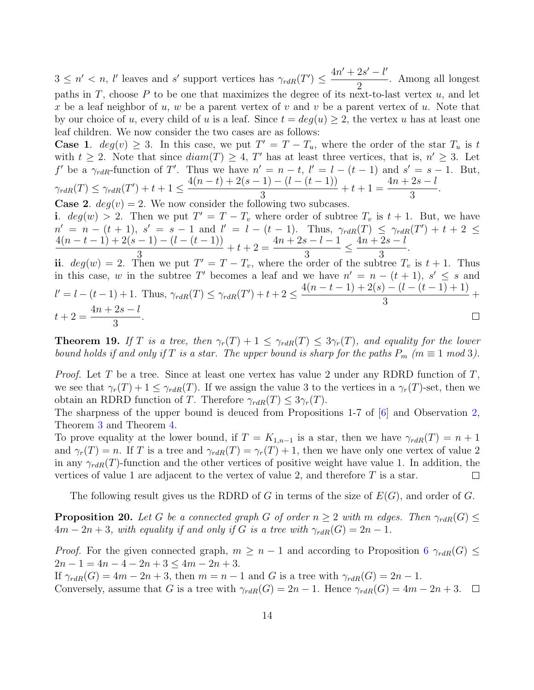$3 \leq n' < n$ , l'eaves and s' support vertices has  $\gamma_{rdR}(T') \leq \frac{4n' + 2s' - l'}{2}$ 2 . Among all longest paths in T, choose P to be one that maximizes the degree of its next-to-last vertex  $u$ , and let x be a leaf neighbor of u, w be a parent vertex of v and v be a parent vertex of u. Note that by our choice of u, every child of u is a leaf. Since  $t = deg(u) \geq 2$ , the vertex u has at least one leaf children. We now consider the two cases are as follows:

**Case 1.**  $deg(v) \geq 3$ . In this case, we put  $T' = T - T_u$ , where the order of the star  $T_u$  is t with  $t \geq 2$ . Note that since  $diam(T) \geq 4$ , T' has at least three vertices, that is,  $n' \geq 3$ . Let f' be a  $\gamma_{rdR}$ -function of T'. Thus we have  $n' = n - t$ ,  $l' = l - (t - 1)$  and  $s' = s - 1$ . But,  $\gamma_{rdR}(T) \leq \gamma_{rdR}(T') + t + 1 \leq$  $4(n-t) + 2(s-1) - (l - (t-1))$ 3  $+ t + 1 =$  $4n + 2s - l$ 3 .

**Case 2.**  $deg(v) = 2$ . We now consider the following two subcases. i.  $deg(w) > 2$ . Then we put  $T' = T - T_v$  where order of subtree  $T_v$  is  $t + 1$ . But, we have  $n' = n - (t + 1), s' = s - 1 \text{ and } l' = l - (t - 1). \text{ Thus, } \gamma_{rdR}(T) \leq \gamma_{rdR}(T') + t + 2 \leq$  $4(n-t-1)+2(s-1)-(l-(t-1))$  $+ t + 2 =$  $4n + 2s - l - 1$  $\leq \frac{4n+2s-l}{2}$ .

3 3 3 ii.  $deg(w) = 2$ . Then we put  $T' = T - T_v$ , where the order of the subtree  $T_v$  is  $t + 1$ . Thus in this case, w in the subtree T' becomes a leaf and we have  $n' = n - (t + 1)$ ,  $s' \leq s$  and  $4(n-t-1)+2(s)-(l-(t-1)+1)$  $l' = l - (t - 1) + 1$ . Thus,  $\gamma_{rdR}(T) \leq \gamma_{rdR}(T') + t + 2 \leq$  $+$ 3  $4n + 2s - l$  $t + 2 =$ .  $\Box$ 3

**Theorem 19.** If T is a tree, then  $\gamma_r(T) + 1 \leq \gamma_{rdR}(T) \leq 3\gamma_r(T)$ , and equality for the lower bound holds if and only if T is a star. The upper bound is sharp for the paths  $P_m$  ( $m \equiv 1 \mod 3$ ).

*Proof.* Let T be a tree. Since at least one vertex has value 2 under any RDRD function of T, we see that  $\gamma_r(T) + 1 \leq \gamma_{rdR}(T)$ . If we assign the value 3 to the vertices in a  $\gamma_r(T)$ -set, then we obtain an RDRD function of T. Therefore  $\gamma_{rdR}(T) \leq 3\gamma_r(T)$ .

The sharpness of the upper bound is deuced from Propositions 1-7 of [\[6\]](#page-14-2) and Observation [2,](#page-4-1) Theorem [3](#page-4-0) and Theorem [4.](#page-5-0)

To prove equality at the lower bound, if  $T = K_{1,n-1}$  is a star, then we have  $\gamma_{rdR}(T) = n+1$ and  $\gamma_r(T) = n$ . If T is a tree and  $\gamma_{rdR}(T) = \gamma_r(T) + 1$ , then we have only one vertex of value 2 in any  $\gamma_{rdR}(T)$ -function and the other vertices of positive weight have value 1. In addition, the vertices of value 1 are adjacent to the vertex of value 2, and therefore  $T$  is a star.  $\Box$ 

The following result gives us the RDRD of G in terms of the size of  $E(G)$ , and order of G.

**Proposition 20.** Let G be a connected graph G of order  $n \geq 2$  with m edges. Then  $\gamma_{rdR}(G) \leq$  $4m-2n+3$ , with equality if and only if G is a tree with  $\gamma_{rdR}(G) = 2n-1$ .

*Proof.* For the given connected graph,  $m \geq n-1$  and according to Proposition [6](#page-6-1)  $\gamma_{rdR}(G) \leq$  $2n - 1 = 4n - 4 - 2n + 3 \le 4m - 2n + 3.$ 

If  $\gamma_{rdR}(G) = 4m - 2n + 3$ , then  $m = n - 1$  and G is a tree with  $\gamma_{rdR}(G) = 2n - 1$ . Conversely, assume that G is a tree with  $\gamma_{rdR}(G) = 2n - 1$ . Hence  $\gamma_{rdR}(G) = 4m - 2n + 3$ .  $\Box$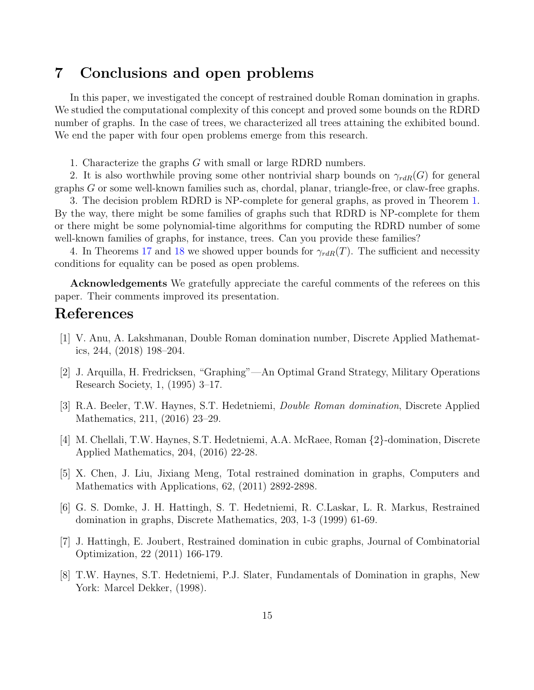### 7 Conclusions and open problems

In this paper, we investigated the concept of restrained double Roman domination in graphs. We studied the computational complexity of this concept and proved some bounds on the RDRD number of graphs. In the case of trees, we characterized all trees attaining the exhibited bound. We end the paper with four open problems emerge from this research.

1. Characterize the graphs G with small or large RDRD numbers.

2. It is also worthwhile proving some other nontrivial sharp bounds on  $\gamma_{rdR}(G)$  for general graphs G or some well-known families such as, chordal, planar, triangle-free, or claw-free graphs.

3. The decision problem RDRD is NP-complete for general graphs, as proved in Theorem [1.](#page-3-0) By the way, there might be some families of graphs such that RDRD is NP-complete for them or there might be some polynomial-time algorithms for computing the RDRD number of some well-known families of graphs, for instance, trees. Can you provide these families?

4. In Theorems [17](#page-12-0) and [18](#page-12-1) we showed upper bounds for  $\gamma_{rdR}(T)$ . The sufficient and necessity conditions for equality can be posed as open problems.

Acknowledgements We gratefully appreciate the careful comments of the referees on this paper. Their comments improved its presentation.

# References

- <span id="page-14-6"></span>[1] V. Anu, A. Lakshmanan, Double Roman domination number, Discrete Applied Mathematics, 244, (2018) 198–204.
- [2] J. Arquilla, H. Fredricksen, "Graphing"—An Optimal Grand Strategy, Military Operations Research Society, 1, (1995) 3–17.
- <span id="page-14-0"></span>[3] R.A. Beeler, T.W. Haynes, S.T. Hedetniemi, Double Roman domination, Discrete Applied Mathematics, 211, (2016) 23–29.
- <span id="page-14-1"></span>[4] M. Chellali, T.W. Haynes, S.T. Hedetniemi, A.A. McRaee, Roman {2}-domination, Discrete Applied Mathematics, 204, (2016) 22-28.
- <span id="page-14-5"></span>[5] X. Chen, J. Liu, Jixiang Meng, Total restrained domination in graphs, Computers and Mathematics with Applications, 62, (2011) 2892-2898.
- <span id="page-14-2"></span>[6] G. S. Domke, J. H. Hattingh, S. T. Hedetniemi, R. C.Laskar, L. R. Markus, Restrained domination in graphs, Discrete Mathematics, 203, 1-3 (1999) 61-69.
- <span id="page-14-3"></span>[7] J. Hattingh, E. Joubert, Restrained domination in cubic graphs, Journal of Combinatorial Optimization, 22 (2011) 166-179.
- <span id="page-14-4"></span>[8] T.W. Haynes, S.T. Hedetniemi, P.J. Slater, Fundamentals of Domination in graphs, New York: Marcel Dekker, (1998).